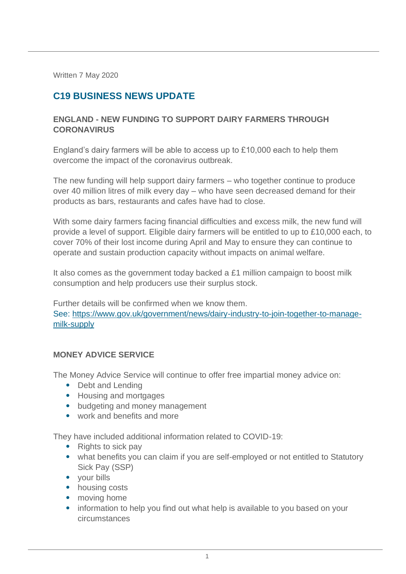Written 7 May 2020

# **C19 BUSINESS NEWS UPDATE**

## **ENGLAND - NEW FUNDING TO SUPPORT DAIRY FARMERS THROUGH CORONAVIRUS**

England's dairy farmers will be able to access up to £10,000 each to help them overcome the impact of the coronavirus outbreak.

The new funding will help support dairy farmers – who together continue to produce over 40 million litres of milk every day – who have seen decreased demand for their products as bars, restaurants and cafes have had to close.

With some dairy farmers facing financial difficulties and excess milk, the new fund will provide a level of support. Eligible dairy farmers will be entitled to up to £10,000 each, to cover 70% of their lost income during April and May to ensure they can continue to operate and sustain production capacity without impacts on animal welfare.

It also comes as the government today backed a £1 million campaign to boost milk consumption and help producers use their surplus stock.

Further details will be confirmed when we know them. See: [https://www.gov.uk/government/news/dairy-industry-to-join-together-to-manage](https://www.gov.uk/government/news/dairy-industry-to-join-together-to-manage-milk-supply)[milk-supply](https://www.gov.uk/government/news/dairy-industry-to-join-together-to-manage-milk-supply)

#### **MONEY ADVICE SERVICE**

The Money Advice Service will continue to offer free impartial money advice on:

- Debt and Lending
- Housing and mortgages
- budgeting and money management
- work and benefits and more

They have included additional information related to COVID-19:

- Rights to sick pay
- what benefits you can claim if you are self-employed or not entitled to Statutory Sick Pay (SSP)
- your bills
- housing costs
- moving home
- information to help you find out what help is available to you based on your circumstances